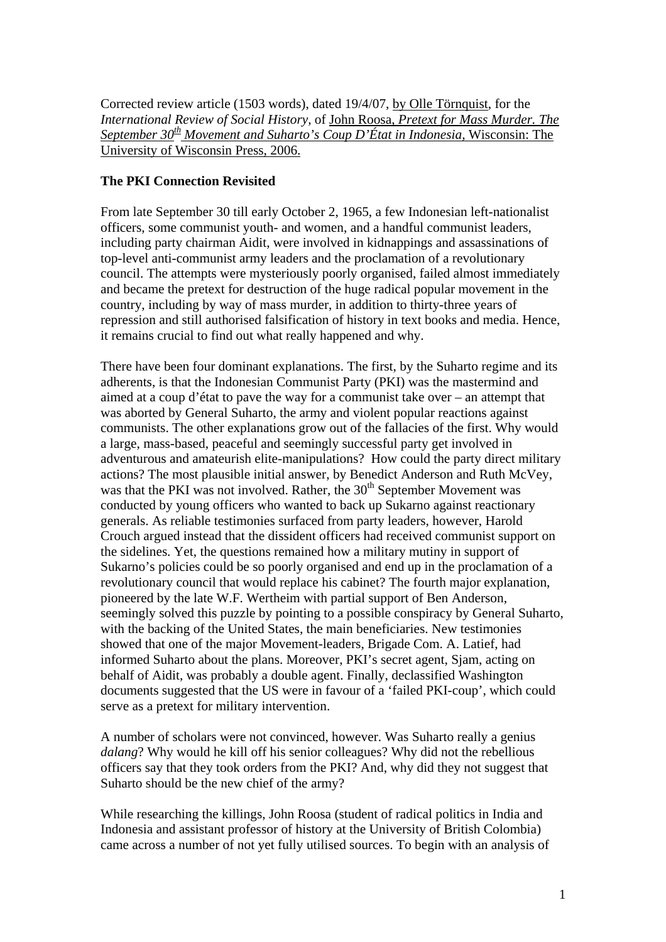Corrected review article (1503 words), dated 19/4/07, by Olle Törnquist, for the *International Review of Social History,* of John Roosa, *Pretext for Mass Murder. The September 30th Movement and Suharto's Coup D'État in Indonesia,* Wisconsin: The University of Wisconsin Press, 2006.

## **The PKI Connection Revisited**

From late September 30 till early October 2, 1965, a few Indonesian left-nationalist officers, some communist youth- and women, and a handful communist leaders, including party chairman Aidit, were involved in kidnappings and assassinations of top-level anti-communist army leaders and the proclamation of a revolutionary council. The attempts were mysteriously poorly organised, failed almost immediately and became the pretext for destruction of the huge radical popular movement in the country, including by way of mass murder, in addition to thirty-three years of repression and still authorised falsification of history in text books and media. Hence, it remains crucial to find out what really happened and why.

There have been four dominant explanations. The first, by the Suharto regime and its adherents, is that the Indonesian Communist Party (PKI) was the mastermind and aimed at a coup d'état to pave the way for a communist take over – an attempt that was aborted by General Suharto, the army and violent popular reactions against communists. The other explanations grow out of the fallacies of the first. Why would a large, mass-based, peaceful and seemingly successful party get involved in adventurous and amateurish elite-manipulations? How could the party direct military actions? The most plausible initial answer, by Benedict Anderson and Ruth McVey, was that the PKI was not involved. Rather, the 30<sup>th</sup> September Movement was conducted by young officers who wanted to back up Sukarno against reactionary generals. As reliable testimonies surfaced from party leaders, however, Harold Crouch argued instead that the dissident officers had received communist support on the sidelines. Yet, the questions remained how a military mutiny in support of Sukarno's policies could be so poorly organised and end up in the proclamation of a revolutionary council that would replace his cabinet? The fourth major explanation, pioneered by the late W.F. Wertheim with partial support of Ben Anderson, seemingly solved this puzzle by pointing to a possible conspiracy by General Suharto, with the backing of the United States, the main beneficiaries. New testimonies showed that one of the major Movement-leaders, Brigade Com. A. Latief, had informed Suharto about the plans. Moreover, PKI's secret agent, Sjam, acting on behalf of Aidit, was probably a double agent. Finally, declassified Washington documents suggested that the US were in favour of a 'failed PKI-coup', which could serve as a pretext for military intervention.

A number of scholars were not convinced, however. Was Suharto really a genius *dalang*? Why would he kill off his senior colleagues? Why did not the rebellious officers say that they took orders from the PKI? And, why did they not suggest that Suharto should be the new chief of the army?

While researching the killings, John Roosa (student of radical politics in India and Indonesia and assistant professor of history at the University of British Colombia) came across a number of not yet fully utilised sources. To begin with an analysis of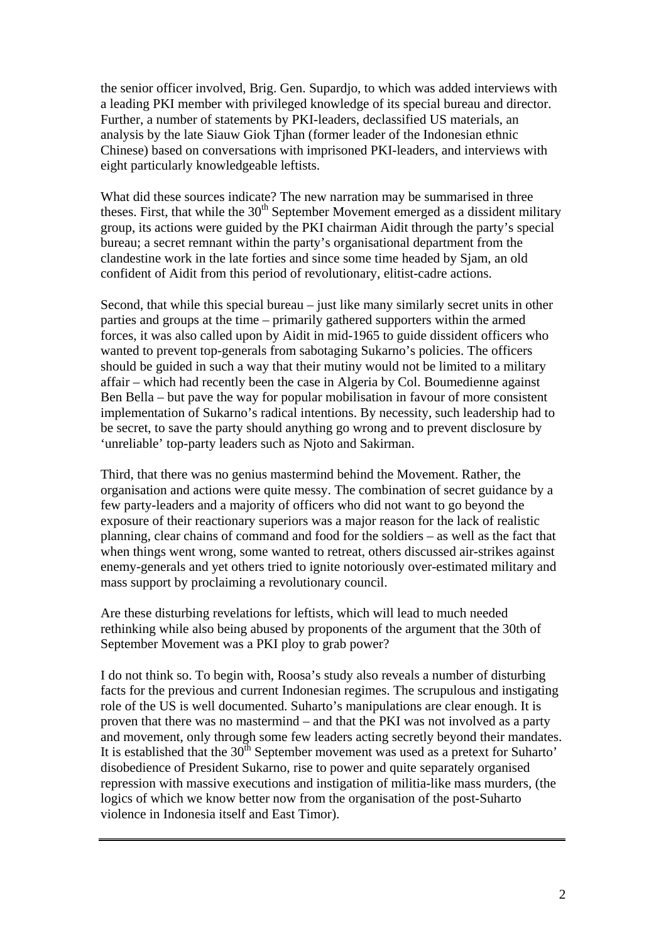the senior officer involved, Brig. Gen. Supardjo, to which was added interviews with a leading PKI member with privileged knowledge of its special bureau and director. Further, a number of statements by PKI-leaders, declassified US materials, an analysis by the late Siauw Giok Tjhan (former leader of the Indonesian ethnic Chinese) based on conversations with imprisoned PKI-leaders, and interviews with eight particularly knowledgeable leftists.

What did these sources indicate? The new narration may be summarised in three theses. First, that while the  $30<sup>th</sup>$  September Movement emerged as a dissident military group, its actions were guided by the PKI chairman Aidit through the party's special bureau; a secret remnant within the party's organisational department from the clandestine work in the late forties and since some time headed by Sjam, an old confident of Aidit from this period of revolutionary, elitist-cadre actions.

Second, that while this special bureau – just like many similarly secret units in other parties and groups at the time – primarily gathered supporters within the armed forces, it was also called upon by Aidit in mid-1965 to guide dissident officers who wanted to prevent top-generals from sabotaging Sukarno's policies. The officers should be guided in such a way that their mutiny would not be limited to a military affair – which had recently been the case in Algeria by Col. Boumedienne against Ben Bella – but pave the way for popular mobilisation in favour of more consistent implementation of Sukarno's radical intentions. By necessity, such leadership had to be secret, to save the party should anything go wrong and to prevent disclosure by 'unreliable' top-party leaders such as Njoto and Sakirman.

Third, that there was no genius mastermind behind the Movement. Rather, the organisation and actions were quite messy. The combination of secret guidance by a few party-leaders and a majority of officers who did not want to go beyond the exposure of their reactionary superiors was a major reason for the lack of realistic planning, clear chains of command and food for the soldiers – as well as the fact that when things went wrong, some wanted to retreat, others discussed air-strikes against enemy-generals and yet others tried to ignite notoriously over-estimated military and mass support by proclaiming a revolutionary council.

Are these disturbing revelations for leftists, which will lead to much needed rethinking while also being abused by proponents of the argument that the 30th of September Movement was a PKI ploy to grab power?

I do not think so. To begin with, Roosa's study also reveals a number of disturbing facts for the previous and current Indonesian regimes. The scrupulous and instigating role of the US is well documented. Suharto's manipulations are clear enough. It is proven that there was no mastermind – and that the PKI was not involved as a party and movement, only through some few leaders acting secretly beyond their mandates. It is established that the  $30<sup>th</sup>$  September movement was used as a pretext for Suharto' disobedience of President Sukarno, rise to power and quite separately organised repression with massive executions and instigation of militia-like mass murders, (the logics of which we know better now from the organisation of the post-Suharto violence in Indonesia itself and East Timor).